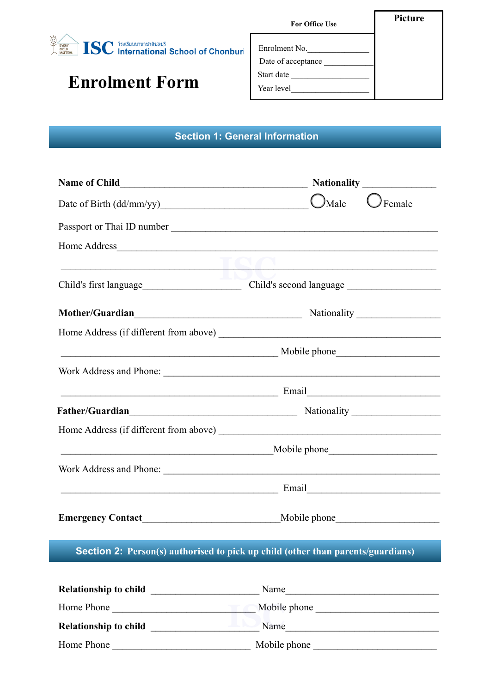

## **Enrolment Form**

| <b>For Office Use</b>                                           | <b>Picture</b> |
|-----------------------------------------------------------------|----------------|
| Enrolment No.<br>Date of acceptance<br>Start date<br>Year level |                |

## **Section 1: General Information**

| $O$ Male<br>$\mathcal I$ Female<br>Date of Birth (dd/mm/yy)                                                             |
|-------------------------------------------------------------------------------------------------------------------------|
|                                                                                                                         |
|                                                                                                                         |
| the control of the control of the control of the control of the control of the control of                               |
|                                                                                                                         |
| Mother/Guardian<br>Mother/Guardian<br>Mother/Guardian                                                                   |
| Home Address (if different from above)                                                                                  |
|                                                                                                                         |
|                                                                                                                         |
| <b>Email</b> Email <b>Email Email Email Email Email Email Email Email Email Email Email Email Email E</b>               |
|                                                                                                                         |
|                                                                                                                         |
| Mobile phone Mobile phone Mobile Phone 2014                                                                             |
|                                                                                                                         |
| <b>Email</b> Email <b>Email Email Email Email Email Email Email Email Email Email Email Email Email Email Email EMA</b> |
|                                                                                                                         |
|                                                                                                                         |

| <b>Relationship to child</b> | Name         |  |
|------------------------------|--------------|--|
| Home Phone                   | Mobile phone |  |
| <b>Relationship to child</b> | Name         |  |
| Home Phone                   | Mobile phone |  |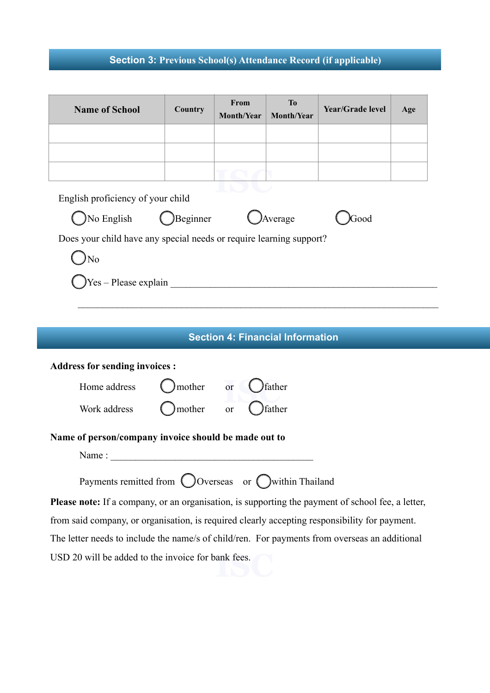## **Section 3: Previous School(s) Attendance Record (if applicable)**

| <b>Name of School</b>                                                                             | Country  | From<br>Month/Year | <b>To</b><br><b>Month/Year</b>          | Year/Grade level | Age |
|---------------------------------------------------------------------------------------------------|----------|--------------------|-----------------------------------------|------------------|-----|
|                                                                                                   |          |                    |                                         |                  |     |
|                                                                                                   |          |                    |                                         |                  |     |
|                                                                                                   |          |                    |                                         |                  |     |
| English proficiency of your child                                                                 |          |                    |                                         |                  |     |
| No English                                                                                        | Beginner |                    | Average                                 | Good             |     |
| Does your child have any special needs or require learning support?                               |          |                    |                                         |                  |     |
| No                                                                                                |          |                    |                                         |                  |     |
| $Yes - Please explain$                                                                            |          |                    |                                         |                  |     |
|                                                                                                   |          |                    |                                         |                  |     |
|                                                                                                   |          |                    |                                         |                  |     |
|                                                                                                   |          |                    | <b>Section 4: Financial Information</b> |                  |     |
|                                                                                                   |          |                    |                                         |                  |     |
| <b>Address for sending invoices :</b>                                                             |          |                    |                                         |                  |     |
| Home address                                                                                      | mother   | or                 | father                                  |                  |     |
| mother<br>father<br>Work address<br><b>or</b>                                                     |          |                    |                                         |                  |     |
|                                                                                                   |          |                    |                                         |                  |     |
| Name of person/company invoice should be made out to                                              |          |                    |                                         |                  |     |
| Name:                                                                                             |          |                    |                                         |                  |     |
| Payments remitted from $\bigcirc$ Overseas or $\bigcirc$ within Thailand                          |          |                    |                                         |                  |     |
| Please note: If a company, or an organisation, is supporting the payment of school fee, a letter, |          |                    |                                         |                  |     |
| from said company, or organisation, is required clearly accepting responsibility for payment.     |          |                    |                                         |                  |     |
| The letter needs to include the name/s of child/ren. For payments from overseas an additional     |          |                    |                                         |                  |     |

USD 20 will be added to the invoice for bank fees.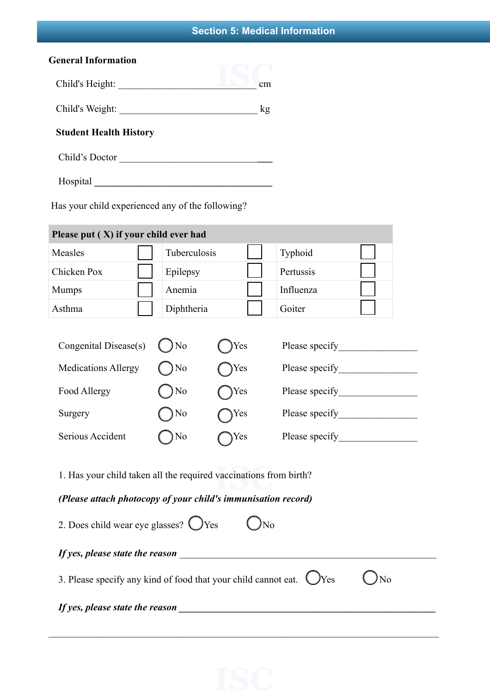## **Section 5: Medical Information**

| <b>General Information</b>    |    |
|-------------------------------|----|
| Child's Height:               | cm |
| Child's Weight:               | kg |
| <b>Student Health History</b> |    |
| Child's Doctor                |    |

Hospital **\_\_\_\_\_\_\_\_\_\_\_\_\_\_\_\_\_\_\_\_\_\_\_\_\_\_\_\_\_\_\_\_\_\_\_\_**

Has your child experienced any of the following?

| Please put (X) if your child ever had                                                                                                                                                      |                |     |                                                                                                                                                                                                                                      |  |
|--------------------------------------------------------------------------------------------------------------------------------------------------------------------------------------------|----------------|-----|--------------------------------------------------------------------------------------------------------------------------------------------------------------------------------------------------------------------------------------|--|
| Measles                                                                                                                                                                                    | Tuberculosis   |     | Typhoid                                                                                                                                                                                                                              |  |
| Chicken Pox                                                                                                                                                                                | Epilepsy       |     | Pertussis                                                                                                                                                                                                                            |  |
| <b>Mumps</b>                                                                                                                                                                               | Anemia         |     | Influenza                                                                                                                                                                                                                            |  |
| Asthma                                                                                                                                                                                     | Diphtheria     |     | Goiter                                                                                                                                                                                                                               |  |
| Congenital Disease(s)                                                                                                                                                                      | N <sub>o</sub> | Yes | Please specify <b>Exercise 2.1 and 2.1 and 2.1 and 2.1 and 2.1 and 2.1 and 2.1 and 2.1 and 2.1 and 2.1 and 2.1 and 2.1 and 2.1 and 2.1 and 2.1 and 2.1 and 2.1 and 2.1 and 2.1 and 2.1 and 2.1 and 2.1 and 2.1 and 2.1 and 2.1 a</b> |  |
| <b>Medications Allergy</b>                                                                                                                                                                 | N <sub>o</sub> | Yes |                                                                                                                                                                                                                                      |  |
| Food Allergy                                                                                                                                                                               | N <sub>o</sub> | Yes |                                                                                                                                                                                                                                      |  |
| Surgery                                                                                                                                                                                    | N <sub>0</sub> | Yes |                                                                                                                                                                                                                                      |  |
| Serious Accident                                                                                                                                                                           | N <sub>0</sub> | Yes |                                                                                                                                                                                                                                      |  |
| 1. Has your child taken all the required vaccinations from birth?<br>(Please attach photocopy of your child's immunisation record)<br>2. Does child wear eye glasses? $\bigcirc$ Yes<br>No |                |     |                                                                                                                                                                                                                                      |  |
| If yes, please state the reason<br>3. Please specify any kind of food that your child cannot eat.<br>Yes<br>No                                                                             |                |     |                                                                                                                                                                                                                                      |  |
| If yes, please state the reason<br><u> 1980 - Jan Samuel Barbara, margaret e</u> n 1980 eta 1980 eta 1980 eta 1980 eta 1980 eta 1980 eta 1980 eta 1980 e                                   |                |     |                                                                                                                                                                                                                                      |  |

 $\_$  , and the contribution of the contribution of the contribution of the contribution of  $\mathcal{L}_\mathcal{A}$